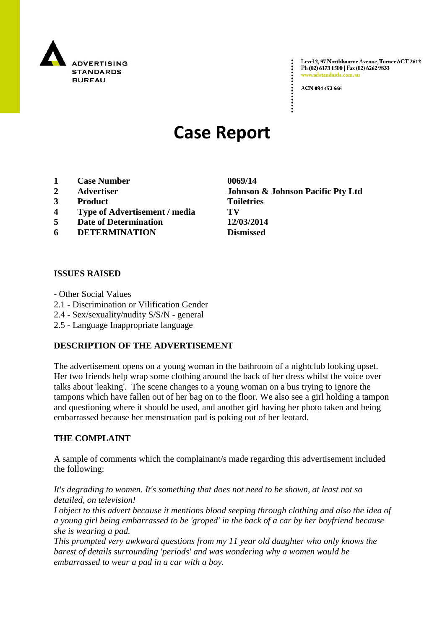

Level 2, 97 Northbourne Avenue, Turner ACT 2612 Ph (02) 6173 1500 | Fax (02) 6262 9833 www.adstandards.c

ACN 084 452 666

# **Case Report**

- **1 Case Number 0069/14**
- 
- **3 Product Toiletries**
- **4 Type of Advertisement / media TV**
- **5 Date of Determination 12/03/2014**
- **6 DETERMINATION Dismissed**

## **ISSUES RAISED**

- Other Social Values
- 2.1 Discrimination or Vilification Gender
- 2.4 Sex/sexuality/nudity S/S/N general
- 2.5 Language Inappropriate language

## **DESCRIPTION OF THE ADVERTISEMENT**

The advertisement opens on a young woman in the bathroom of a nightclub looking upset. Her two friends help wrap some clothing around the back of her dress whilst the voice over talks about 'leaking'. The scene changes to a young woman on a bus trying to ignore the tampons which have fallen out of her bag on to the floor. We also see a girl holding a tampon and questioning where it should be used, and another girl having her photo taken and being embarrassed because her menstruation pad is poking out of her leotard.

## **THE COMPLAINT**

A sample of comments which the complainant/s made regarding this advertisement included the following:

*It's degrading to women. It's something that does not need to be shown, at least not so detailed, on television!*

*I object to this advert because it mentions blood seeping through clothing and also the idea of a young girl being embarrassed to be 'groped' in the back of a car by her boyfriend because she is wearing a pad.*

*This prompted very awkward questions from my 11 year old daughter who only knows the barest of details surrounding 'periods' and was wondering why a women would be embarrassed to wear a pad in a car with a boy.*

**2 Advertiser Johnson & Johnson Pacific Pty Ltd**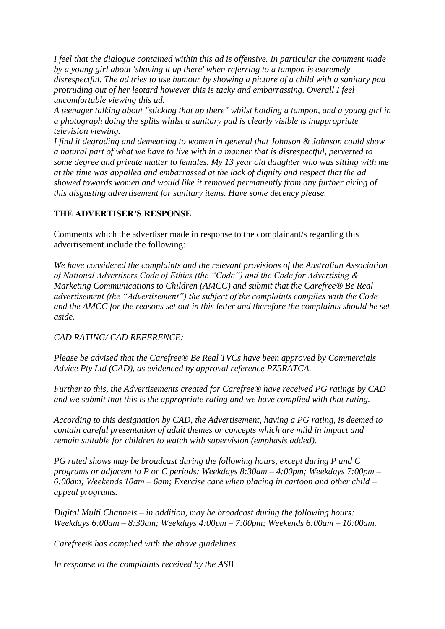*I feel that the dialogue contained within this ad is offensive. In particular the comment made by a young girl about 'shoving it up there' when referring to a tampon is extremely disrespectful. The ad tries to use humour by showing a picture of a child with a sanitary pad protruding out of her leotard however this is tacky and embarrassing. Overall I feel uncomfortable viewing this ad.*

*A teenager talking about "sticking that up there" whilst holding a tampon, and a young girl in a photograph doing the splits whilst a sanitary pad is clearly visible is inappropriate television viewing.*

*I find it degrading and demeaning to women in general that Johnson & Johnson could show a natural part of what we have to live with in a manner that is disrespectful, perverted to some degree and private matter to females. My 13 year old daughter who was sitting with me at the time was appalled and embarrassed at the lack of dignity and respect that the ad showed towards women and would like it removed permanently from any further airing of this disgusting advertisement for sanitary items. Have some decency please.*

# **THE ADVERTISER'S RESPONSE**

Comments which the advertiser made in response to the complainant/s regarding this advertisement include the following:

*We have considered the complaints and the relevant provisions of the Australian Association of National Advertisers Code of Ethics (the "Code") and the Code for Advertising & Marketing Communications to Children (AMCC) and submit that the Carefree® Be Real advertisement (the "Advertisement") the subject of the complaints complies with the Code and the AMCC for the reasons set out in this letter and therefore the complaints should be set aside.* 

## *CAD RATING/ CAD REFERENCE:*

*Please be advised that the Carefree® Be Real TVCs have been approved by Commercials Advice Pty Ltd (CAD), as evidenced by approval reference PZ5RATCA.*

*Further to this, the Advertisements created for Carefree® have received PG ratings by CAD and we submit that this is the appropriate rating and we have complied with that rating.*

*According to this designation by CAD, the Advertisement, having a PG rating, is deemed to contain careful presentation of adult themes or concepts which are mild in impact and remain suitable for children to watch with supervision (emphasis added).*

*PG rated shows may be broadcast during the following hours, except during P and C programs or adjacent to P or C periods: Weekdays 8:30am – 4:00pm; Weekdays 7:00pm – 6:00am; Weekends 10am – 6am; Exercise care when placing in cartoon and other child – appeal programs.*

*Digital Multi Channels – in addition, may be broadcast during the following hours: Weekdays 6:00am – 8:30am; Weekdays 4:00pm – 7:00pm; Weekends 6:00am – 10:00am.*

*Carefree® has complied with the above guidelines.* 

*In response to the complaints received by the ASB*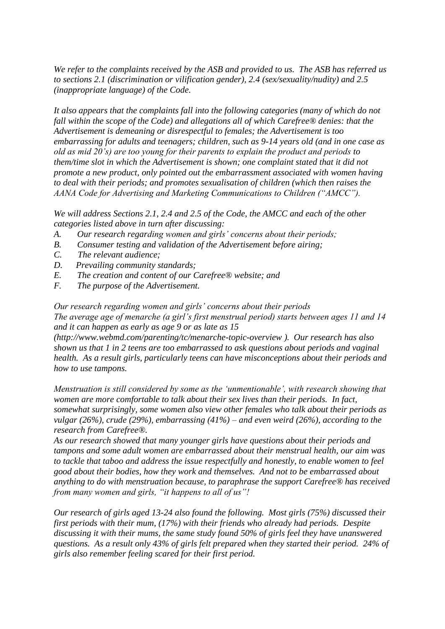*We refer to the complaints received by the ASB and provided to us. The ASB has referred us to sections 2.1 (discrimination or vilification gender), 2.4 (sex/sexuality/nudity) and 2.5 (inappropriate language) of the Code.*

*It also appears that the complaints fall into the following categories (many of which do not fall within the scope of the Code) and allegations all of which Carefree® denies: that the Advertisement is demeaning or disrespectful to females; the Advertisement is too embarrassing for adults and teenagers; children, such as 9-14 years old (and in one case as old as mid 20"s) are too young for their parents to explain the product and periods to them/time slot in which the Advertisement is shown; one complaint stated that it did not promote a new product, only pointed out the embarrassment associated with women having to deal with their periods; and promotes sexualisation of children (which then raises the AANA Code for Advertising and Marketing Communications to Children ("AMCC").* 

*We will address Sections 2.1, 2.4 and 2.5 of the Code, the AMCC and each of the other categories listed above in turn after discussing:*

- *A. Our research regarding women and girls" concerns about their periods;*
- *B. Consumer testing and validation of the Advertisement before airing;*
- *C. The relevant audience;*
- *D. Prevailing community standards;*
- *E. The creation and content of our Carefree® website; and*
- *F. The purpose of the Advertisement.*

*Our research regarding women and girls" concerns about their periods The average age of menarche (a girl"s first menstrual period) starts between ages 11 and 14 and it can happen as early as age 9 or as late as 15* 

*(http://www.webmd.com/parenting/tc/menarche-topic-overview ). Our research has also shown us that 1 in 2 teens are too embarrassed to ask questions about periods and vaginal health. As a result girls, particularly teens can have misconceptions about their periods and how to use tampons.* 

*Menstruation is still considered by some as the "unmentionable", with research showing that women are more comfortable to talk about their sex lives than their periods. In fact, somewhat surprisingly, some women also view other females who talk about their periods as vulgar (26%), crude (29%), embarrassing (41%) – and even weird (26%), according to the research from Carefree®.*

*As our research showed that many younger girls have questions about their periods and tampons and some adult women are embarrassed about their menstrual health, our aim was to tackle that taboo and address the issue respectfully and honestly, to enable women to feel good about their bodies, how they work and themselves. And not to be embarrassed about anything to do with menstruation because, to paraphrase the support Carefree® has received from many women and girls, "it happens to all of us"!* 

*Our research of girls aged 13-24 also found the following. Most girls (75%) discussed their first periods with their mum, (17%) with their friends who already had periods. Despite discussing it with their mums, the same study found 50% of girls feel they have unanswered questions. As a result only 43% of girls felt prepared when they started their period. 24% of girls also remember feeling scared for their first period.*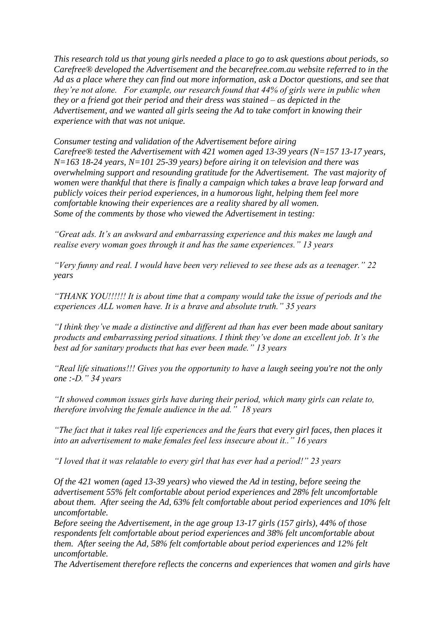*This research told us that young girls needed a place to go to ask questions about periods, so Carefree® developed the Advertisement and the becarefree.com.au website referred to in the Ad as a place where they can find out more information, ask a Doctor questions, and see that they"re not alone. For example, our research found that 44% of girls were in public when they or a friend got their period and their dress was stained – as depicted in the Advertisement, and we wanted all girls seeing the Ad to take comfort in knowing their experience with that was not unique.*

*Consumer testing and validation of the Advertisement before airing Carefree® tested the Advertisement with 421 women aged 13-39 years (N=157 13-17 years, N=163 18-24 years, N=101 25-39 years) before airing it on television and there was overwhelming support and resounding gratitude for the Advertisement. The vast majority of women were thankful that there is finally a campaign which takes a brave leap forward and publicly voices their period experiences, in a humorous light, helping them feel more comfortable knowing their experiences are a reality shared by all women. Some of the comments by those who viewed the Advertisement in testing:*

*"Great ads. It"s an awkward and embarrassing experience and this makes me laugh and realise every woman goes through it and has the same experiences." 13 years*

*"Very funny and real. I would have been very relieved to see these ads as a teenager." 22 years*

*"THANK YOU!!!!!! It is about time that a company would take the issue of periods and the experiences ALL women have. It is a brave and absolute truth." 35 years* 

*"I think they"ve made a distinctive and different ad than has ever been made about sanitary products and embarrassing period situations. I think they"ve done an excellent job. It"s the best ad for sanitary products that has ever been made." 13 years* 

*"Real life situations!!! Gives you the opportunity to have a laugh seeing you're not the only one :-D." 34 years*

*"It showed common issues girls have during their period, which many girls can relate to, therefore involving the female audience in the ad." 18 years*

*"The fact that it takes real life experiences and the fears that every girl faces, then places it into an advertisement to make females feel less insecure about it.." 16 years*

*"I loved that it was relatable to every girl that has ever had a period!" 23 years*

*Of the 421 women (aged 13-39 years) who viewed the Ad in testing, before seeing the advertisement 55% felt comfortable about period experiences and 28% felt uncomfortable about them. After seeing the Ad, 63% felt comfortable about period experiences and 10% felt uncomfortable.*

*Before seeing the Advertisement, in the age group 13-17 girls (157 girls), 44% of those respondents felt comfortable about period experiences and 38% felt uncomfortable about them. After seeing the Ad, 58% felt comfortable about period experiences and 12% felt uncomfortable.*

*The Advertisement therefore reflects the concerns and experiences that women and girls have*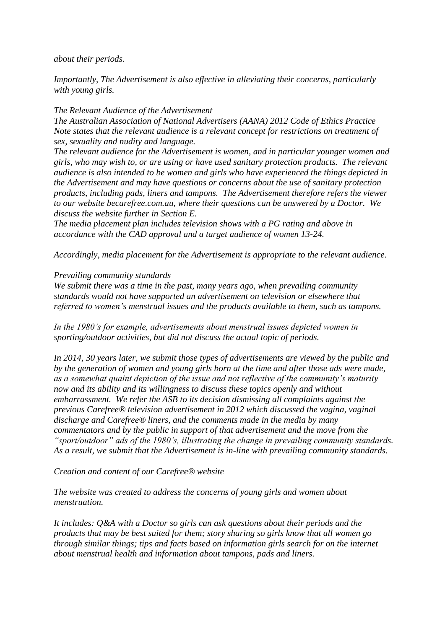*about their periods.*

*Importantly, The Advertisement is also effective in alleviating their concerns, particularly with young girls.*

## *The Relevant Audience of the Advertisement*

*The Australian Association of National Advertisers (AANA) 2012 Code of Ethics Practice Note states that the relevant audience is a relevant concept for restrictions on treatment of sex, sexuality and nudity and language.*

*The relevant audience for the Advertisement is women, and in particular younger women and girls, who may wish to, or are using or have used sanitary protection products. The relevant audience is also intended to be women and girls who have experienced the things depicted in the Advertisement and may have questions or concerns about the use of sanitary protection products, including pads, liners and tampons. The Advertisement therefore refers the viewer to our website becarefree.com.au, where their questions can be answered by a Doctor. We discuss the website further in Section E.*

*The media placement plan includes television shows with a PG rating and above in accordance with the CAD approval and a target audience of women 13-24.* 

*Accordingly, media placement for the Advertisement is appropriate to the relevant audience.* 

## *Prevailing community standards*

*We submit there was a time in the past, many years ago, when prevailing community standards would not have supported an advertisement on television or elsewhere that referred to women"s menstrual issues and the products available to them, such as tampons.* 

*In the 1980"s for example, advertisements about menstrual issues depicted women in sporting/outdoor activities, but did not discuss the actual topic of periods.* 

*In 2014, 30 years later, we submit those types of advertisements are viewed by the public and by the generation of women and young girls born at the time and after those ads were made, as a somewhat quaint depiction of the issue and not reflective of the community"s maturity now and its ability and its willingness to discuss these topics openly and without embarrassment. We refer the ASB to its decision dismissing all complaints against the previous Carefree® television advertisement in 2012 which discussed the vagina, vaginal discharge and Carefree® liners, and the comments made in the media by many commentators and by the public in support of that advertisement and the move from the "sport/outdoor" ads of the 1980"s, illustrating the change in prevailing community standards. As a result, we submit that the Advertisement is in-line with prevailing community standards.*

*Creation and content of our Carefree® website* 

*The website was created to address the concerns of young girls and women about menstruation.*

*It includes: Q&A with a Doctor so girls can ask questions about their periods and the products that may be best suited for them; story sharing so girls know that all women go through similar things; tips and facts based on information girls search for on the internet about menstrual health and information about tampons, pads and liners.*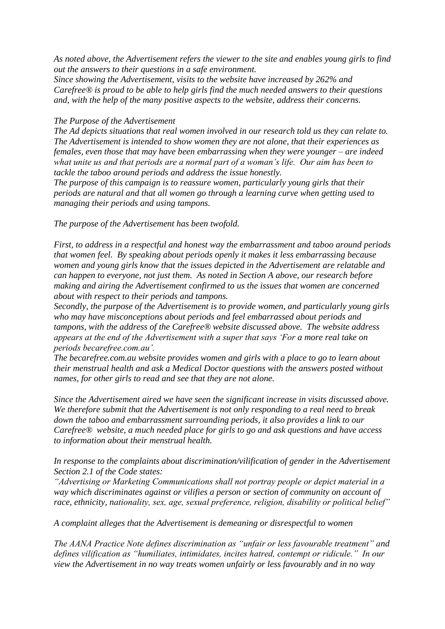*As noted above, the Advertisement refers the viewer to the site and enables young girls to find out the answers to their questions in a safe environment.*

*Since showing the Advertisement, visits to the website have increased by 262% and Carefree® is proud to be able to help girls find the much needed answers to their questions and, with the help of the many positive aspects to the website, address their concerns.* 

#### *The Purpose of the Advertisement*

*The Ad depicts situations that real women involved in our research told us they can relate to. The Advertisement is intended to show women they are not alone, that their experiences as females, even those that may have been embarrassing when they were younger – are indeed what unite us and that periods are a normal part of a woman"s life. Our aim has been to tackle the taboo around periods and address the issue honestly.*

*The purpose of this campaign is to reassure women, particularly young girls that their periods are natural and that all women go through a learning curve when getting used to managing their periods and using tampons.* 

*The purpose of the Advertisement has been twofold.*

*First, to address in a respectful and honest way the embarrassment and taboo around periods that women feel. By speaking about periods openly it makes it less embarrassing because women and young girls know that the issues depicted in the Advertisement are relatable and can happen to everyone, not just them. As noted in Section A above, our research before making and airing the Advertisement confirmed to us the issues that women are concerned about with respect to their periods and tampons.*

*Secondly, the purpose of the Advertisement is to provide women, and particularly young girls who may have misconceptions about periods and feel embarrassed about periods and tampons, with the address of the Carefree® website discussed above. The website address appears at the end of the Advertisement with a super that says "For a more real take on periods becarefree.com.au".*

*The becarefree.com.au website provides women and girls with a place to go to learn about their menstrual health and ask a Medical Doctor questions with the answers posted without names, for other girls to read and see that they are not alone.*

*Since the Advertisement aired we have seen the significant increase in visits discussed above. We therefore submit that the Advertisement is not only responding to a real need to break down the taboo and embarrassment surrounding periods, it also provides a link to our Carefree® website, a much needed place for girls to go and ask questions and have access to information about their menstrual health.*

*In response to the complaints about discrimination/vilification of gender in the Advertisement Section 2.1 of the Code states:*

*"Advertising or Marketing Communications shall not portray people or depict material in a way which discriminates against or vilifies a person or section of community on account of race, ethnicity, nationality, sex, age, sexual preference, religion, disability or political belief"*

*A complaint alleges that the Advertisement is demeaning or disrespectful to women* 

*The AANA Practice Note defines discrimination as "unfair or less favourable treatment" and defines vilification as "humiliates, intimidates, incites hatred, contempt or ridicule." In our view the Advertisement in no way treats women unfairly or less favourably and in no way*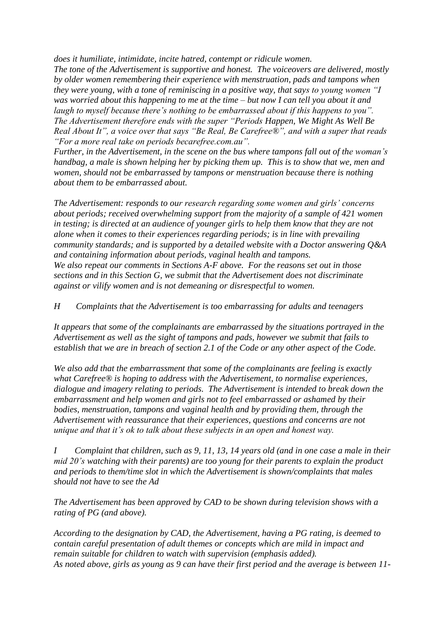*does it humiliate, intimidate, incite hatred, contempt or ridicule women.*

*The tone of the Advertisement is supportive and honest. The voiceovers are delivered, mostly by older women remembering their experience with menstruation, pads and tampons when they were young, with a tone of reminiscing in a positive way, that says to young women "I was worried about this happening to me at the time – but now I can tell you about it and laugh to myself because there"s nothing to be embarrassed about if this happens to you". The Advertisement therefore ends with the super "Periods Happen, We Might As Well Be Real About It", a voice over that says "Be Real, Be Carefree®", and with a super that reads "For a more real take on periods becarefree.com.au".*

*Further, in the Advertisement, in the scene on the bus where tampons fall out of the woman"s handbag, a male is shown helping her by picking them up. This is to show that we, men and women, should not be embarrassed by tampons or menstruation because there is nothing about them to be embarrassed about.*

*The Advertisement: responds to our research regarding some women and girls" concerns about periods; received overwhelming support from the majority of a sample of 421 women in testing; is directed at an audience of younger girls to help them know that they are not alone when it comes to their experiences regarding periods; is in line with prevailing community standards; and is supported by a detailed website with a Doctor answering Q&A and containing information about periods, vaginal health and tampons. We also repeat our comments in Sections A-F above. For the reasons set out in those sections and in this Section G, we submit that the Advertisement does not discriminate against or vilify women and is not demeaning or disrespectful to women.* 

*H Complaints that the Advertisement is too embarrassing for adults and teenagers*

*It appears that some of the complainants are embarrassed by the situations portrayed in the Advertisement as well as the sight of tampons and pads, however we submit that fails to establish that we are in breach of section 2.1 of the Code or any other aspect of the Code.*

*We also add that the embarrassment that some of the complainants are feeling is exactly what Carefree® is hoping to address with the Advertisement, to normalise experiences, dialogue and imagery relating to periods. The Advertisement is intended to break down the embarrassment and help women and girls not to feel embarrassed or ashamed by their bodies, menstruation, tampons and vaginal health and by providing them, through the Advertisement with reassurance that their experiences, questions and concerns are not unique and that it"s ok to talk about these subjects in an open and honest way.*

*I Complaint that children, such as 9, 11, 13, 14 years old (and in one case a male in their mid 20"s watching with their parents) are too young for their parents to explain the product and periods to them/time slot in which the Advertisement is shown/complaints that males should not have to see the Ad* 

*The Advertisement has been approved by CAD to be shown during television shows with a rating of PG (and above).*

*According to the designation by CAD, the Advertisement, having a PG rating, is deemed to contain careful presentation of adult themes or concepts which are mild in impact and remain suitable for children to watch with supervision (emphasis added). As noted above, girls as young as 9 can have their first period and the average is between 11-*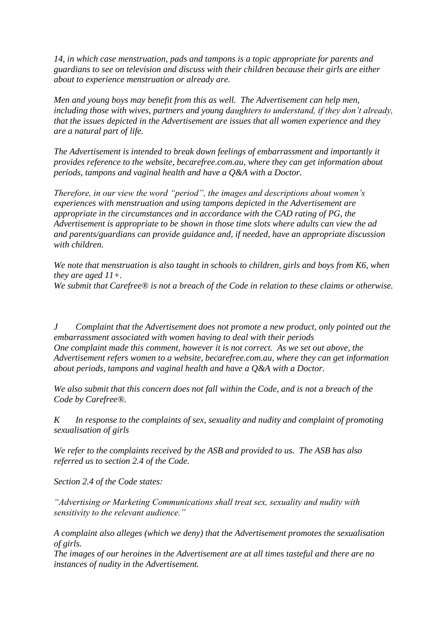*14, in which case menstruation, pads and tampons is a topic appropriate for parents and guardians to see on television and discuss with their children because their girls are either about to experience menstruation or already are.* 

*Men and young boys may benefit from this as well. The Advertisement can help men, including those with wives, partners and young daughters to understand, if they don"t already, that the issues depicted in the Advertisement are issues that all women experience and they are a natural part of life.* 

*The Advertisement is intended to break down feelings of embarrassment and importantly it provides reference to the website, becarefree.com.au, where they can get information about periods, tampons and vaginal health and have a Q&A with a Doctor.* 

*Therefore, in our view the word "period", the images and descriptions about women"s experiences with menstruation and using tampons depicted in the Advertisement are appropriate in the circumstances and in accordance with the CAD rating of PG, the Advertisement is appropriate to be shown in those time slots where adults can view the ad and parents/guardians can provide guidance and, if needed, have an appropriate discussion with children.* 

*We note that menstruation is also taught in schools to children, girls and boys from K6, when they are aged 11+. We submit that Carefree® is not a breach of the Code in relation to these claims or otherwise.*

*J Complaint that the Advertisement does not promote a new product, only pointed out the embarrassment associated with women having to deal with their periods One complaint made this comment, however it is not correct. As we set out above, the Advertisement refers women to a website, becarefree.com.au, where they can get information about periods, tampons and vaginal health and have a Q&A with a Doctor.*

*We also submit that this concern does not fall within the Code, and is not a breach of the Code by Carefree®.*

*K In response to the complaints of sex, sexuality and nudity and complaint of promoting sexualisation of girls*

*We refer to the complaints received by the ASB and provided to us. The ASB has also referred us to section 2.4 of the Code.*

*Section 2.4 of the Code states:*

*"Advertising or Marketing Communications shall treat sex, sexuality and nudity with sensitivity to the relevant audience."* 

*A complaint also alleges (which we deny) that the Advertisement promotes the sexualisation of girls.*

*The images of our heroines in the Advertisement are at all times tasteful and there are no instances of nudity in the Advertisement.*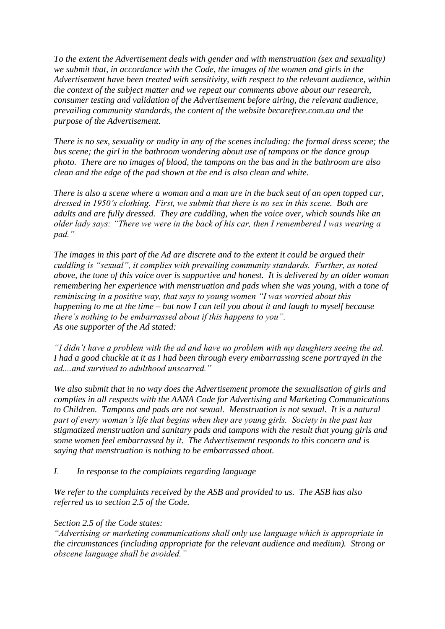*To the extent the Advertisement deals with gender and with menstruation (sex and sexuality) we submit that, in accordance with the Code, the images of the women and girls in the Advertisement have been treated with sensitivity, with respect to the relevant audience, within the context of the subject matter and we repeat our comments above about our research, consumer testing and validation of the Advertisement before airing, the relevant audience, prevailing community standards, the content of the website becarefree.com.au and the purpose of the Advertisement.* 

*There is no sex, sexuality or nudity in any of the scenes including: the formal dress scene; the bus scene; the girl in the bathroom wondering about use of tampons or the dance group photo. There are no images of blood, the tampons on the bus and in the bathroom are also clean and the edge of the pad shown at the end is also clean and white.* 

*There is also a scene where a woman and a man are in the back seat of an open topped car, dressed in 1950"s clothing. First, we submit that there is no sex in this scene. Both are adults and are fully dressed. They are cuddling, when the voice over, which sounds like an older lady says: "There we were in the back of his car, then I remembered I was wearing a pad."* 

*The images in this part of the Ad are discrete and to the extent it could be argued their cuddling is "sexual", it complies with prevailing community standards. Further, as noted above, the tone of this voice over is supportive and honest. It is delivered by an older woman remembering her experience with menstruation and pads when she was young, with a tone of reminiscing in a positive way, that says to young women "I was worried about this happening to me at the time – but now I can tell you about it and laugh to myself because there"s nothing to be embarrassed about if this happens to you". As one supporter of the Ad stated:*

*"I didn"t have a problem with the ad and have no problem with my daughters seeing the ad. I had a good chuckle at it as I had been through every embarrassing scene portrayed in the ad....and survived to adulthood unscarred."*

*We also submit that in no way does the Advertisement promote the sexualisation of girls and complies in all respects with the AANA Code for Advertising and Marketing Communications to Children. Tampons and pads are not sexual. Menstruation is not sexual. It is a natural part of every woman"s life that begins when they are young girls. Society in the past has stigmatized menstruation and sanitary pads and tampons with the result that young girls and some women feel embarrassed by it. The Advertisement responds to this concern and is saying that menstruation is nothing to be embarrassed about.* 

*L In response to the complaints regarding language* 

*We refer to the complaints received by the ASB and provided to us. The ASB has also referred us to section 2.5 of the Code.*

*Section 2.5 of the Code states:*

*"Advertising or marketing communications shall only use language which is appropriate in the circumstances (including appropriate for the relevant audience and medium). Strong or obscene language shall be avoided."*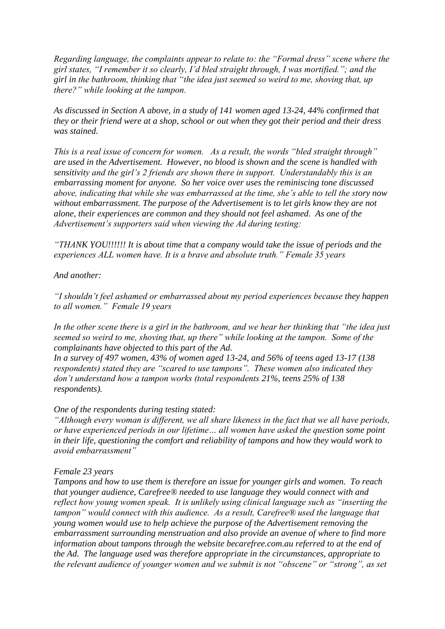*Regarding language, the complaints appear to relate to: the "Formal dress" scene where the girl states, "I remember it so clearly, I"d bled straight through, I was mortified."; and the girl in the bathroom, thinking that "the idea just seemed so weird to me, shoving that, up there?" while looking at the tampon.* 

*As discussed in Section A above, in a study of 141 women aged 13-24, 44% confirmed that they or their friend were at a shop, school or out when they got their period and their dress was stained.* 

*This is a real issue of concern for women. As a result, the words "bled straight through" are used in the Advertisement. However, no blood is shown and the scene is handled with sensitivity and the girl"s 2 friends are shown there in support. Understandably this is an embarrassing moment for anyone. So her voice over uses the reminiscing tone discussed above, indicating that while she was embarrassed at the time, she"s able to tell the story now without embarrassment. The purpose of the Advertisement is to let girls know they are not alone, their experiences are common and they should not feel ashamed. As one of the Advertisement"s supporters said when viewing the Ad during testing:*

*"THANK YOU!!!!!! It is about time that a company would take the issue of periods and the experiences ALL women have. It is a brave and absolute truth." Female 35 years* 

## *And another:*

*"I shouldn"t feel ashamed or embarrassed about my period experiences because they happen to all women." Female 19 years* 

*In the other scene there is a girl in the bathroom, and we hear her thinking that "the idea just seemed so weird to me, shoving that, up there" while looking at the tampon. Some of the complainants have objected to this part of the Ad.*

*In a survey of 497 women, 43% of women aged 13-24, and 56% of teens aged 13-17 (138 respondents) stated they are "scared to use tampons". These women also indicated they don"t understand how a tampon works (total respondents 21%, teens 25% of 138 respondents).* 

#### *One of the respondents during testing stated:*

*"Although every woman is different, we all share likeness in the fact that we all have periods, or have experienced periods in our lifetime… all women have asked the question some point in their life, questioning the comfort and reliability of tampons and how they would work to avoid embarrassment"* 

#### *Female 23 years*

*Tampons and how to use them is therefore an issue for younger girls and women. To reach that younger audience, Carefree® needed to use language they would connect with and reflect how young women speak. It is unlikely using clinical language such as "inserting the tampon" would connect with this audience. As a result, Carefree® used the language that young women would use to help achieve the purpose of the Advertisement removing the embarrassment surrounding menstruation and also provide an avenue of where to find more information about tampons through the website becarefree.com.au referred to at the end of the Ad. The language used was therefore appropriate in the circumstances, appropriate to the relevant audience of younger women and we submit is not "obscene" or "strong", as set*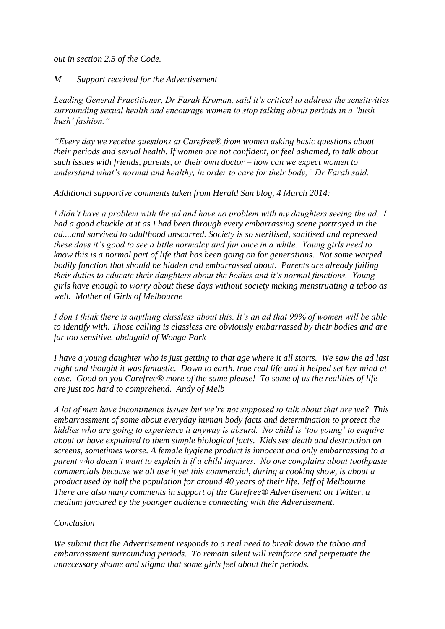*out in section 2.5 of the Code.* 

#### *M Support received for the Advertisement*

*Leading General Practitioner, Dr Farah Kroman, said it"s critical to address the sensitivities surrounding sexual health and encourage women to stop talking about periods in a "hush hush" fashion."*

*"Every day we receive questions at Carefree® from women asking basic questions about their periods and sexual health. If women are not confident, or feel ashamed, to talk about such issues with friends, parents, or their own doctor – how can we expect women to understand what"s normal and healthy, in order to care for their body," Dr Farah said.*

*Additional supportive comments taken from Herald Sun blog, 4 March 2014:*

*I didn"t have a problem with the ad and have no problem with my daughters seeing the ad. I had a good chuckle at it as I had been through every embarrassing scene portrayed in the ad....and survived to adulthood unscarred. Society is so sterilised, sanitised and repressed these days it"s good to see a little normalcy and fun once in a while. Young girls need to know this is a normal part of life that has been going on for generations. Not some warped bodily function that should be hidden and embarrassed about. Parents are already failing their duties to educate their daughters about the bodies and it"s normal functions. Young girls have enough to worry about these days without society making menstruating a taboo as well. Mother of Girls of Melbourne*

*I don"t think there is anything classless about this. It"s an ad that 99% of women will be able to identify with. Those calling is classless are obviously embarrassed by their bodies and are far too sensitive. abduguid of Wonga Park*

*I have a young daughter who is just getting to that age where it all starts. We saw the ad last night and thought it was fantastic. Down to earth, true real life and it helped set her mind at ease. Good on you Carefree® more of the same please! To some of us the realities of life are just too hard to comprehend. Andy of Melb*

*A lot of men have incontinence issues but we"re not supposed to talk about that are we? This embarrassment of some about everyday human body facts and determination to protect the kiddies who are going to experience it anyway is absurd. No child is "too young" to enquire about or have explained to them simple biological facts. Kids see death and destruction on screens, sometimes worse. A female hygiene product is innocent and only embarrassing to a parent who doesn"t want to explain it if a child inquires. No one complains about toothpaste commercials because we all use it yet this commercial, during a cooking show, is about a product used by half the population for around 40 years of their life. Jeff of Melbourne There are also many comments in support of the Carefree® Advertisement on Twitter, a medium favoured by the younger audience connecting with the Advertisement.*

## *Conclusion*

*We submit that the Advertisement responds to a real need to break down the taboo and embarrassment surrounding periods. To remain silent will reinforce and perpetuate the unnecessary shame and stigma that some girls feel about their periods.*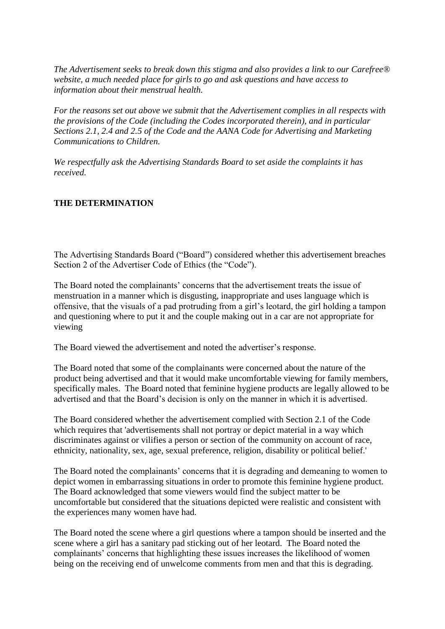*The Advertisement seeks to break down this stigma and also provides a link to our Carefree® website, a much needed place for girls to go and ask questions and have access to information about their menstrual health.*

*For the reasons set out above we submit that the Advertisement complies in all respects with the provisions of the Code (including the Codes incorporated therein), and in particular Sections 2.1, 2.4 and 2.5 of the Code and the AANA Code for Advertising and Marketing Communications to Children.* 

*We respectfully ask the Advertising Standards Board to set aside the complaints it has received.*

# **THE DETERMINATION**

The Advertising Standards Board ("Board") considered whether this advertisement breaches Section 2 of the Advertiser Code of Ethics (the "Code").

The Board noted the complainants' concerns that the advertisement treats the issue of menstruation in a manner which is disgusting, inappropriate and uses language which is offensive, that the visuals of a pad protruding from a girl"s leotard, the girl holding a tampon and questioning where to put it and the couple making out in a car are not appropriate for viewing

The Board viewed the advertisement and noted the advertiser"s response.

The Board noted that some of the complainants were concerned about the nature of the product being advertised and that it would make uncomfortable viewing for family members, specifically males. The Board noted that feminine hygiene products are legally allowed to be advertised and that the Board"s decision is only on the manner in which it is advertised.

The Board considered whether the advertisement complied with Section 2.1 of the Code which requires that 'advertisements shall not portray or depict material in a way which discriminates against or vilifies a person or section of the community on account of race, ethnicity, nationality, sex, age, sexual preference, religion, disability or political belief.'

The Board noted the complainants' concerns that it is degrading and demeaning to women to depict women in embarrassing situations in order to promote this feminine hygiene product. The Board acknowledged that some viewers would find the subject matter to be uncomfortable but considered that the situations depicted were realistic and consistent with the experiences many women have had.

The Board noted the scene where a girl questions where a tampon should be inserted and the scene where a girl has a sanitary pad sticking out of her leotard. The Board noted the complainants" concerns that highlighting these issues increases the likelihood of women being on the receiving end of unwelcome comments from men and that this is degrading.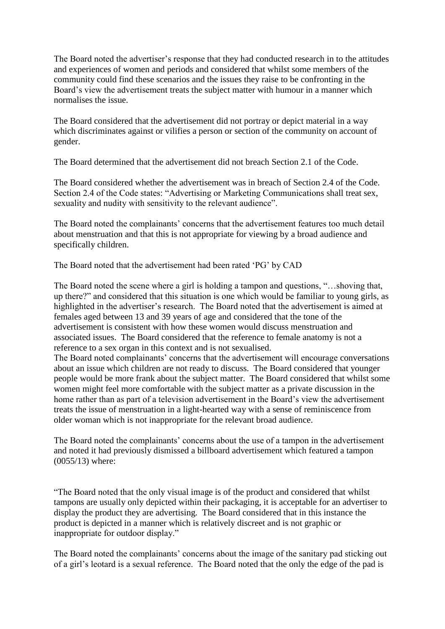The Board noted the advertiser"s response that they had conducted research in to the attitudes and experiences of women and periods and considered that whilst some members of the community could find these scenarios and the issues they raise to be confronting in the Board"s view the advertisement treats the subject matter with humour in a manner which normalises the issue.

The Board considered that the advertisement did not portray or depict material in a way which discriminates against or vilifies a person or section of the community on account of gender.

The Board determined that the advertisement did not breach Section 2.1 of the Code.

The Board considered whether the advertisement was in breach of Section 2.4 of the Code. Section 2.4 of the Code states: "Advertising or Marketing Communications shall treat sex, sexuality and nudity with sensitivity to the relevant audience".

The Board noted the complainants" concerns that the advertisement features too much detail about menstruation and that this is not appropriate for viewing by a broad audience and specifically children.

The Board noted that the advertisement had been rated "PG" by CAD

The Board noted the scene where a girl is holding a tampon and questions, "…shoving that, up there?" and considered that this situation is one which would be familiar to young girls, as highlighted in the advertiser"s research. The Board noted that the advertisement is aimed at females aged between 13 and 39 years of age and considered that the tone of the advertisement is consistent with how these women would discuss menstruation and associated issues. The Board considered that the reference to female anatomy is not a reference to a sex organ in this context and is not sexualised.

The Board noted complainants' concerns that the advertisement will encourage conversations about an issue which children are not ready to discuss. The Board considered that younger people would be more frank about the subject matter. The Board considered that whilst some women might feel more comfortable with the subject matter as a private discussion in the home rather than as part of a television advertisement in the Board"s view the advertisement treats the issue of menstruation in a light-hearted way with a sense of reminiscence from older woman which is not inappropriate for the relevant broad audience.

The Board noted the complainants' concerns about the use of a tampon in the advertisement and noted it had previously dismissed a billboard advertisement which featured a tampon (0055/13) where:

"The Board noted that the only visual image is of the product and considered that whilst tampons are usually only depicted within their packaging, it is acceptable for an advertiser to display the product they are advertising. The Board considered that in this instance the product is depicted in a manner which is relatively discreet and is not graphic or inappropriate for outdoor display."

The Board noted the complainants' concerns about the image of the sanitary pad sticking out of a girl"s leotard is a sexual reference. The Board noted that the only the edge of the pad is